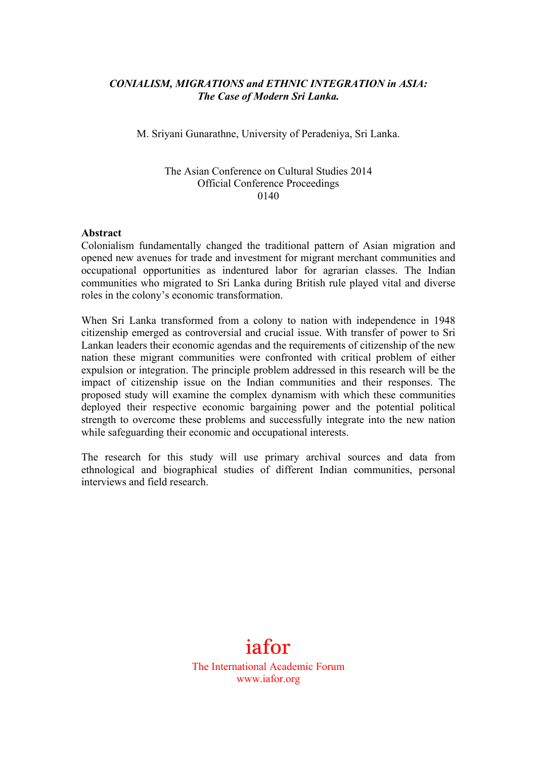## *CONIALISM, MIGRATIONS and ETHNIC INTEGRATION in ASIA: The Case of Modern Sri Lanka.*

M. Sriyani Gunarathne, University of Peradeniya, Sri Lanka.

## The Asian Conference on Cultural Studies 2014 Official Conference Proceedings 0140

## **Abstract**

Colonialism fundamentally changed the traditional pattern of Asian migration and opened new avenues for trade and investment for migrant merchant communities and occupational opportunities as indentured labor for agrarian classes. The Indian communities who migrated to Sri Lanka during British rule played vital and diverse roles in the colony's economic transformation.

When Sri Lanka transformed from a colony to nation with independence in 1948 citizenship emerged as controversial and crucial issue. With transfer of power to Sri Lankan leaders their economic agendas and the requirements of citizenship of the new nation these migrant communities were confronted with critical problem of either expulsion or integration. The principle problem addressed in this research will be the impact of citizenship issue on the Indian communities and their responses. The proposed study will examine the complex dynamism with which these communities deployed their respective economic bargaining power and the potential political strength to overcome these problems and successfully integrate into the new nation while safeguarding their economic and occupational interests.

The research for this study will use primary archival sources and data from ethnological and biographical studies of different Indian communities, personal interviews and field research.

## iafor

The International Academic Forum www.iafor.org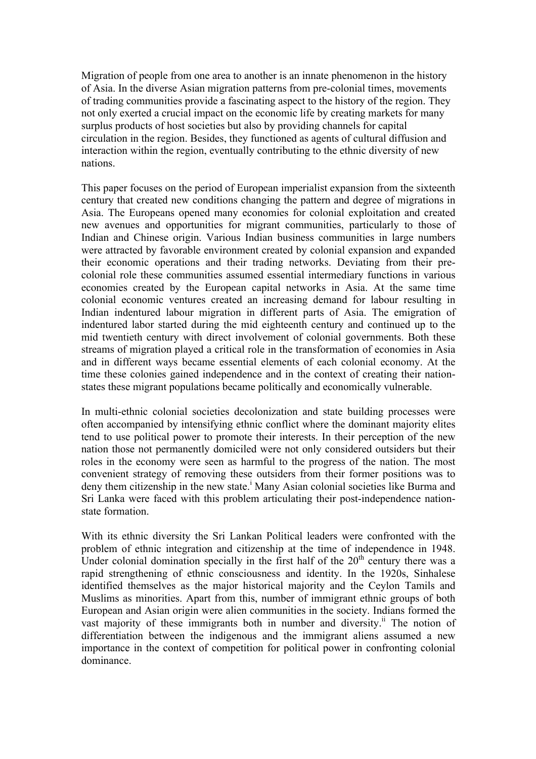Migration of people from one area to another is an innate phenomenon in the history of Asia. In the diverse Asian migration patterns from pre-colonial times, movements of trading communities provide a fascinating aspect to the history of the region. They not only exerted a crucial impact on the economic life by creating markets for many surplus products of host societies but also by providing channels for capital circulation in the region. Besides, they functioned as agents of cultural diffusion and interaction within the region, eventually contributing to the ethnic diversity of new nations.

This paper focuses on the period of European imperialist expansion from the sixteenth century that created new conditions changing the pattern and degree of migrations in Asia. The Europeans opened many economies for colonial exploitation and created new avenues and opportunities for migrant communities, particularly to those of Indian and Chinese origin. Various Indian business communities in large numbers were attracted by favorable environment created by colonial expansion and expanded their economic operations and their trading networks. Deviating from their precolonial role these communities assumed essential intermediary functions in various economies created by the European capital networks in Asia. At the same time colonial economic ventures created an increasing demand for labour resulting in Indian indentured labour migration in different parts of Asia. The emigration of indentured labor started during the mid eighteenth century and continued up to the mid twentieth century with direct involvement of colonial governments. Both these streams of migration played a critical role in the transformation of economies in Asia and in different ways became essential elements of each colonial economy. At the time these colonies gained independence and in the context of creating their nationstates these migrant populations became politically and economically vulnerable.

In multi-ethnic colonial societies decolonization and state building processes were often accompanied by intensifying ethnic conflict where the dominant majority elites tend to use political power to promote their interests. In their perception of the new nation those not permanently domiciled were not only considered outsiders but their roles in the economy were seen as harmful to the progress of the nation. The most convenient strategy of removing these outsiders from their former positions was to deny them citizenship in the new state.<sup>i</sup> Many Asian colonial societies like Burma and Sri Lanka were faced with this problem articulating their post-independence nationstate formation.

With its ethnic diversity the Sri Lankan Political leaders were confronted with the problem of ethnic integration and citizenship at the time of independence in 1948. Under colonial domination specially in the first half of the  $20<sup>th</sup>$  century there was a rapid strengthening of ethnic consciousness and identity. In the 1920s, Sinhalese identified themselves as the major historical majority and the Ceylon Tamils and Muslims as minorities. Apart from this, number of immigrant ethnic groups of both European and Asian origin were alien communities in the society. Indians formed the vast majority of these immigrants both in number and diversity.<sup>ii</sup> The notion of differentiation between the indigenous and the immigrant aliens assumed a new importance in the context of competition for political power in confronting colonial dominance.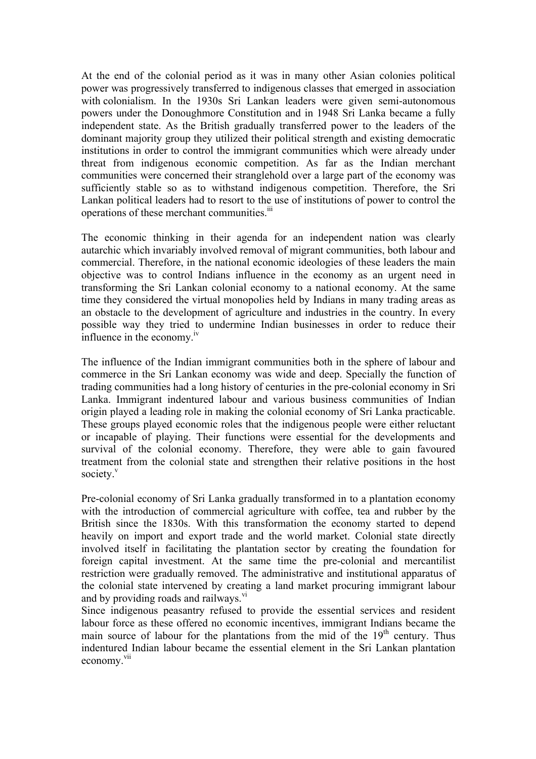At the end of the colonial period as it was in many other Asian colonies political power was progressively transferred to indigenous classes that emerged in association with colonialism. In the 1930s Sri Lankan leaders were given semi-autonomous powers under the Donoughmore Constitution and in 1948 Sri Lanka became a fully independent state. As the British gradually transferred power to the leaders of the dominant majority group they utilized their political strength and existing democratic institutions in order to control the immigrant communities which were already under threat from indigenous economic competition. As far as the Indian merchant communities were concerned their stranglehold over a large part of the economy was sufficiently stable so as to withstand indigenous competition. Therefore, the Sri Lankan political leaders had to resort to the use of institutions of power to control the operations of these merchant communities.<sup>iii</sup>

The economic thinking in their agenda for an independent nation was clearly autarchic which invariably involved removal of migrant communities, both labour and commercial. Therefore, in the national economic ideologies of these leaders the main objective was to control Indians influence in the economy as an urgent need in transforming the Sri Lankan colonial economy to a national economy. At the same time they considered the virtual monopolies held by Indians in many trading areas as an obstacle to the development of agriculture and industries in the country. In every possible way they tried to undermine Indian businesses in order to reduce their influence in the economy.<sup>1V</sup>

The influence of the Indian immigrant communities both in the sphere of labour and commerce in the Sri Lankan economy was wide and deep. Specially the function of trading communities had a long history of centuries in the pre-colonial economy in Sri Lanka. Immigrant indentured labour and various business communities of Indian origin played a leading role in making the colonial economy of Sri Lanka practicable. These groups played economic roles that the indigenous people were either reluctant or incapable of playing. Their functions were essential for the developments and survival of the colonial economy. Therefore, they were able to gain favoured treatment from the colonial state and strengthen their relative positions in the host society.<sup>v</sup>

Pre-colonial economy of Sri Lanka gradually transformed in to a plantation economy with the introduction of commercial agriculture with coffee, tea and rubber by the British since the 1830s. With this transformation the economy started to depend heavily on import and export trade and the world market. Colonial state directly involved itself in facilitating the plantation sector by creating the foundation for foreign capital investment. At the same time the pre-colonial and mercantilist restriction were gradually removed. The administrative and institutional apparatus of the colonial state intervened by creating a land market procuring immigrant labour and by providing roads and railways.<sup>vi</sup>

Since indigenous peasantry refused to provide the essential services and resident labour force as these offered no economic incentives, immigrant Indians became the main source of labour for the plantations from the mid of the  $19<sup>th</sup>$  century. Thus indentured Indian labour became the essential element in the Sri Lankan plantation economy.<sup>vii</sup>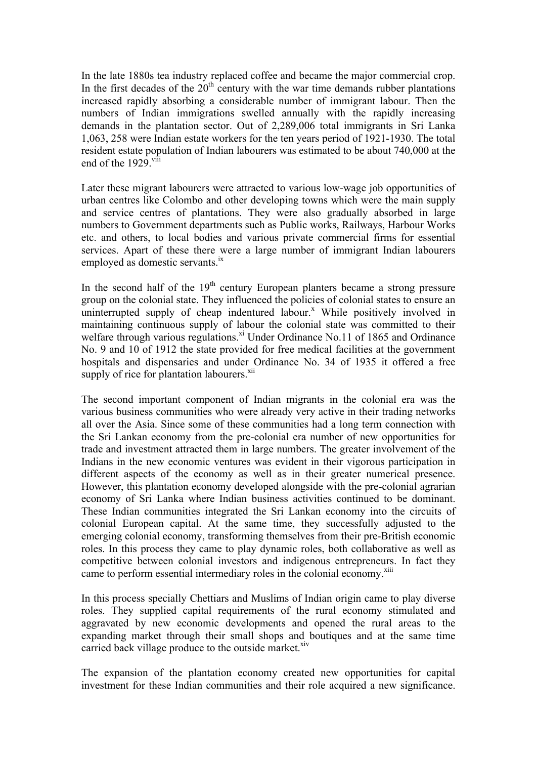In the late 1880s tea industry replaced coffee and became the major commercial crop. In the first decades of the  $20<sup>th</sup>$  century with the war time demands rubber plantations increased rapidly absorbing a considerable number of immigrant labour. Then the numbers of Indian immigrations swelled annually with the rapidly increasing demands in the plantation sector. Out of 2,289,006 total immigrants in Sri Lanka 1,063, 258 were Indian estate workers for the ten years period of 1921-1930. The total resident estate population of Indian labourers was estimated to be about 740,000 at the end of the  $1929$ <sup>viii</sup>

Later these migrant labourers were attracted to various low-wage job opportunities of urban centres like Colombo and other developing towns which were the main supply and service centres of plantations. They were also gradually absorbed in large numbers to Government departments such as Public works, Railways, Harbour Works etc. and others, to local bodies and various private commercial firms for essential services. Apart of these there were a large number of immigrant Indian labourers employed as domestic servants.<sup>ix</sup>

In the second half of the  $19<sup>th</sup>$  century European planters became a strong pressure group on the colonial state. They influenced the policies of colonial states to ensure an uninterrupted supply of cheap indentured labour.<sup>x</sup> While positively involved in maintaining continuous supply of labour the colonial state was committed to their welfare through various regulations.<sup>xi</sup> Under Ordinance No.11 of 1865 and Ordinance No. 9 and 10 of 1912 the state provided for free medical facilities at the government hospitals and dispensaries and under Ordinance No. 34 of 1935 it offered a free supply of rice for plantation labourers.<sup>xii</sup>

The second important component of Indian migrants in the colonial era was the various business communities who were already very active in their trading networks all over the Asia. Since some of these communities had a long term connection with the Sri Lankan economy from the pre-colonial era number of new opportunities for trade and investment attracted them in large numbers. The greater involvement of the Indians in the new economic ventures was evident in their vigorous participation in different aspects of the economy as well as in their greater numerical presence. However, this plantation economy developed alongside with the pre-colonial agrarian economy of Sri Lanka where Indian business activities continued to be dominant. These Indian communities integrated the Sri Lankan economy into the circuits of colonial European capital. At the same time, they successfully adjusted to the emerging colonial economy, transforming themselves from their pre-British economic roles. In this process they came to play dynamic roles, both collaborative as well as competitive between colonial investors and indigenous entrepreneurs. In fact they came to perform essential intermediary roles in the colonial economy.<sup>xiii</sup>

In this process specially Chettiars and Muslims of Indian origin came to play diverse roles. They supplied capital requirements of the rural economy stimulated and aggravated by new economic developments and opened the rural areas to the expanding market through their small shops and boutiques and at the same time carried back village produce to the outside market. $\frac{x}{y}$ 

The expansion of the plantation economy created new opportunities for capital investment for these Indian communities and their role acquired a new significance.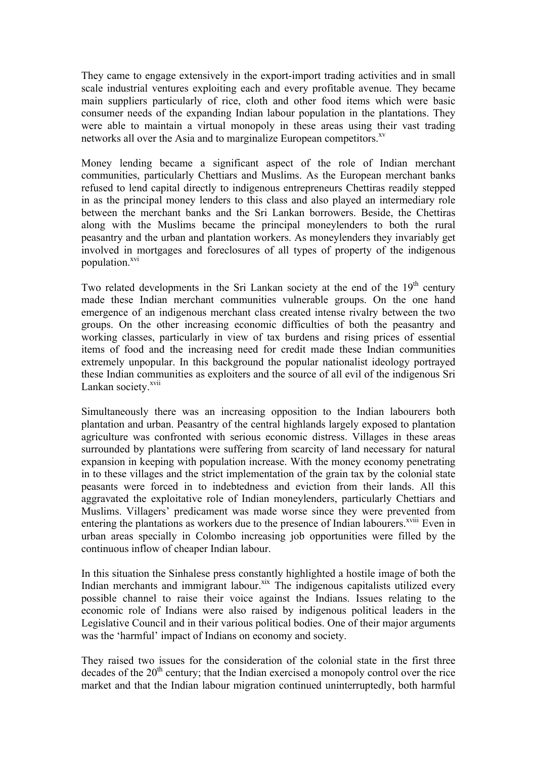They came to engage extensively in the export-import trading activities and in small scale industrial ventures exploiting each and every profitable avenue. They became main suppliers particularly of rice, cloth and other food items which were basic consumer needs of the expanding Indian labour population in the plantations. They were able to maintain a virtual monopoly in these areas using their vast trading networks all over the Asia and to marginalize European competitors.<sup>xv</sup>

Money lending became a significant aspect of the role of Indian merchant communities, particularly Chettiars and Muslims. As the European merchant banks refused to lend capital directly to indigenous entrepreneurs Chettiras readily stepped in as the principal money lenders to this class and also played an intermediary role between the merchant banks and the Sri Lankan borrowers. Beside, the Chettiras along with the Muslims became the principal moneylenders to both the rural peasantry and the urban and plantation workers. As moneylenders they invariably get involved in mortgages and foreclosures of all types of property of the indigenous population.<sup>xvi</sup>

Two related developments in the Sri Lankan society at the end of the  $19<sup>th</sup>$  century made these Indian merchant communities vulnerable groups. On the one hand emergence of an indigenous merchant class created intense rivalry between the two groups. On the other increasing economic difficulties of both the peasantry and working classes, particularly in view of tax burdens and rising prices of essential items of food and the increasing need for credit made these Indian communities extremely unpopular. In this background the popular nationalist ideology portrayed these Indian communities as exploiters and the source of all evil of the indigenous Sri Lankan society.<sup>xvii</sup>

Simultaneously there was an increasing opposition to the Indian labourers both plantation and urban. Peasantry of the central highlands largely exposed to plantation agriculture was confronted with serious economic distress. Villages in these areas surrounded by plantations were suffering from scarcity of land necessary for natural expansion in keeping with population increase. With the money economy penetrating in to these villages and the strict implementation of the grain tax by the colonial state peasants were forced in to indebtedness and eviction from their lands. All this aggravated the exploitative role of Indian moneylenders, particularly Chettiars and Muslims. Villagers' predicament was made worse since they were prevented from entering the plantations as workers due to the presence of Indian labourers.<sup>xviii</sup> Even in urban areas specially in Colombo increasing job opportunities were filled by the continuous inflow of cheaper Indian labour.

In this situation the Sinhalese press constantly highlighted a hostile image of both the Indian merchants and immigrant labour.<sup>xix</sup> The indigenous capitalists utilized every possible channel to raise their voice against the Indians. Issues relating to the economic role of Indians were also raised by indigenous political leaders in the Legislative Council and in their various political bodies. One of their major arguments was the 'harmful' impact of Indians on economy and society.

They raised two issues for the consideration of the colonial state in the first three decades of the  $20<sup>th</sup>$  century; that the Indian exercised a monopoly control over the rice market and that the Indian labour migration continued uninterruptedly, both harmful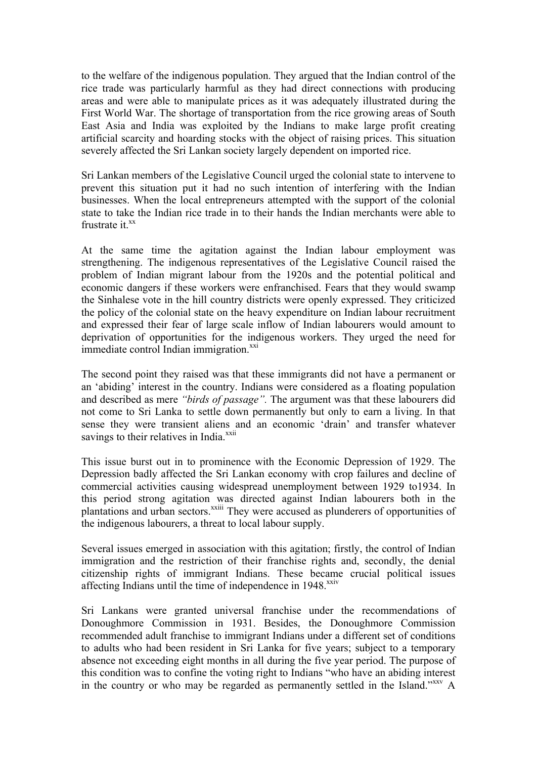to the welfare of the indigenous population. They argued that the Indian control of the rice trade was particularly harmful as they had direct connections with producing areas and were able to manipulate prices as it was adequately illustrated during the First World War. The shortage of transportation from the rice growing areas of South East Asia and India was exploited by the Indians to make large profit creating artificial scarcity and hoarding stocks with the object of raising prices. This situation severely affected the Sri Lankan society largely dependent on imported rice.

Sri Lankan members of the Legislative Council urged the colonial state to intervene to prevent this situation put it had no such intention of interfering with the Indian businesses. When the local entrepreneurs attempted with the support of the colonial state to take the Indian rice trade in to their hands the Indian merchants were able to frustrate it.<sup>xx</sup>

At the same time the agitation against the Indian labour employment was strengthening. The indigenous representatives of the Legislative Council raised the problem of Indian migrant labour from the 1920s and the potential political and economic dangers if these workers were enfranchised. Fears that they would swamp the Sinhalese vote in the hill country districts were openly expressed. They criticized the policy of the colonial state on the heavy expenditure on Indian labour recruitment and expressed their fear of large scale inflow of Indian labourers would amount to deprivation of opportunities for the indigenous workers. They urged the need for immediate control Indian immigration.<sup>xxi</sup>

The second point they raised was that these immigrants did not have a permanent or an 'abiding' interest in the country. Indians were considered as a floating population and described as mere *"birds of passage".* The argument was that these labourers did not come to Sri Lanka to settle down permanently but only to earn a living. In that sense they were transient aliens and an economic 'drain' and transfer whatever savings to their relatives in India.<sup>xxii</sup>

This issue burst out in to prominence with the Economic Depression of 1929. The Depression badly affected the Sri Lankan economy with crop failures and decline of commercial activities causing widespread unemployment between 1929 to1934. In this period strong agitation was directed against Indian labourers both in the plantations and urban sectors.<sup>xxiii</sup> They were accused as plunderers of opportunities of the indigenous labourers, a threat to local labour supply.

Several issues emerged in association with this agitation; firstly, the control of Indian immigration and the restriction of their franchise rights and, secondly, the denial citizenship rights of immigrant Indians. These became crucial political issues affecting Indians until the time of independence in 1948.<sup>XXIV</sup>

Sri Lankans were granted universal franchise under the recommendations of Donoughmore Commission in 1931. Besides, the Donoughmore Commission recommended adult franchise to immigrant Indians under a different set of conditions to adults who had been resident in Sri Lanka for five years; subject to a temporary absence not exceeding eight months in all during the five year period. The purpose of this condition was to confine the voting right to Indians "who have an abiding interest in the country or who may be regarded as permanently settled in the Island."<sup>xxxv</sup> A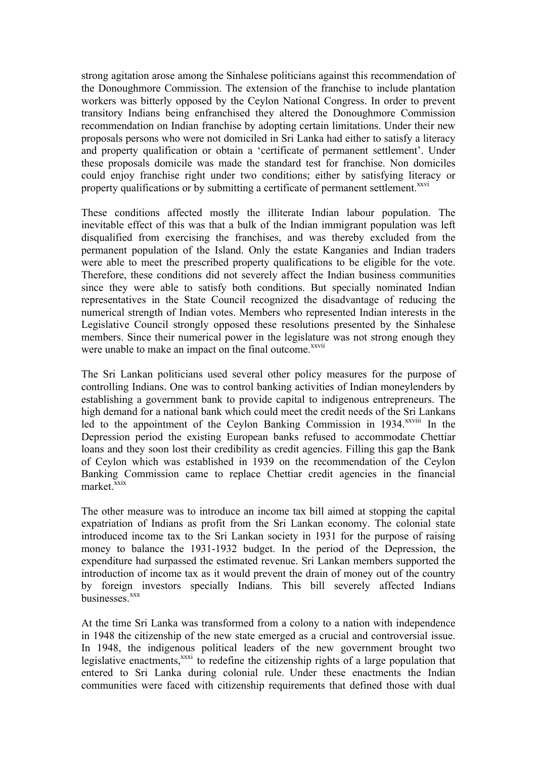strong agitation arose among the Sinhalese politicians against this recommendation of the Donoughmore Commission. The extension of the franchise to include plantation workers was bitterly opposed by the Ceylon National Congress. In order to prevent transitory Indians being enfranchised they altered the Donoughmore Commission recommendation on Indian franchise by adopting certain limitations. Under their new proposals persons who were not domiciled in Sri Lanka had either to satisfy a literacy and property qualification or obtain a 'certificate of permanent settlement'. Under these proposals domicile was made the standard test for franchise. Non domiciles could enjoy franchise right under two conditions; either by satisfying literacy or property qualifications or by submitting a certificate of permanent settlement.<sup>xxvi</sup>

These conditions affected mostly the illiterate Indian labour population. The inevitable effect of this was that a bulk of the Indian immigrant population was left disqualified from exercising the franchises, and was thereby excluded from the permanent population of the Island. Only the estate Kanganies and Indian traders were able to meet the prescribed property qualifications to be eligible for the vote. Therefore, these conditions did not severely affect the Indian business communities since they were able to satisfy both conditions. But specially nominated Indian representatives in the State Council recognized the disadvantage of reducing the numerical strength of Indian votes. Members who represented Indian interests in the Legislative Council strongly opposed these resolutions presented by the Sinhalese members. Since their numerical power in the legislature was not strong enough they were unable to make an impact on the final outcome.<sup>xxvii</sup>

The Sri Lankan politicians used several other policy measures for the purpose of controlling Indians. One was to control banking activities of Indian moneylenders by establishing a government bank to provide capital to indigenous entrepreneurs. The high demand for a national bank which could meet the credit needs of the Sri Lankans led to the appointment of the Ceylon Banking Commission in 1934.<sup>xxviii</sup> In the Depression period the existing European banks refused to accommodate Chettiar loans and they soon lost their credibility as credit agencies. Filling this gap the Bank of Ceylon which was established in 1939 on the recommendation of the Ceylon Banking Commission came to replace Chettiar credit agencies in the financial market.<sup>xxix</sup>

The other measure was to introduce an income tax bill aimed at stopping the capital expatriation of Indians as profit from the Sri Lankan economy. The colonial state introduced income tax to the Sri Lankan society in 1931 for the purpose of raising money to balance the 1931-1932 budget. In the period of the Depression, the expenditure had surpassed the estimated revenue. Sri Lankan members supported the introduction of income tax as it would prevent the drain of money out of the country by foreign investors specially Indians. This bill severely affected Indians businesses.<sup>xxx</sup>

At the time Sri Lanka was transformed from a colony to a nation with independence in 1948 the citizenship of the new state emerged as a crucial and controversial issue. In 1948, the indigenous political leaders of the new government brought two legislative enactments, $^{xxxx}$  to redefine the citizenship rights of a large population that entered to Sri Lanka during colonial rule. Under these enactments the Indian communities were faced with citizenship requirements that defined those with dual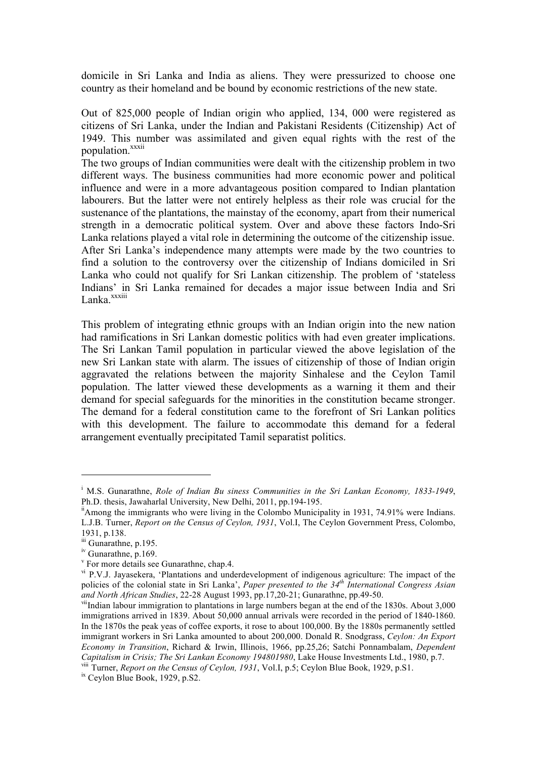domicile in Sri Lanka and India as aliens. They were pressurized to choose one country as their homeland and be bound by economic restrictions of the new state.

Out of 825,000 people of Indian origin who applied, 134, 000 were registered as citizens of Sri Lanka, under the Indian and Pakistani Residents (Citizenship) Act of 1949. This number was assimilated and given equal rights with the rest of the population.<sup>xxxii</sup>

The two groups of Indian communities were dealt with the citizenship problem in two different ways. The business communities had more economic power and political influence and were in a more advantageous position compared to Indian plantation labourers. But the latter were not entirely helpless as their role was crucial for the sustenance of the plantations, the mainstay of the economy, apart from their numerical strength in a democratic political system. Over and above these factors Indo-Sri Lanka relations played a vital role in determining the outcome of the citizenship issue. After Sri Lanka's independence many attempts were made by the two countries to find a solution to the controversy over the citizenship of Indians domiciled in Sri Lanka who could not qualify for Sri Lankan citizenship. The problem of 'stateless Indians' in Sri Lanka remained for decades a major issue between India and Sri Lanka<sup>xxxiii</sup>

This problem of integrating ethnic groups with an Indian origin into the new nation had ramifications in Sri Lankan domestic politics with had even greater implications. The Sri Lankan Tamil population in particular viewed the above legislation of the new Sri Lankan state with alarm. The issues of citizenship of those of Indian origin aggravated the relations between the majority Sinhalese and the Ceylon Tamil population. The latter viewed these developments as a warning it them and their demand for special safeguards for the minorities in the constitution became stronger. The demand for a federal constitution came to the forefront of Sri Lankan politics with this development. The failure to accommodate this demand for a federal arrangement eventually precipitated Tamil separatist politics.

 $\overline{a}$ 

<sup>i</sup> M.S. Gunarathne, *Role of Indian Bu siness Communities in the Sri Lankan Economy, 1833-1949*, Ph.D. thesis, Jawaharlal University, New Delhi, 2011, pp.194-195.<br><sup>ii</sup>Among the immigrants who were living in the Colombo Municipality in 1931, 74.91% were Indians.

L.J.B. Turner, *Report on the Census of Ceylon, 1931*, Vol.I, The Ceylon Government Press, Colombo, 1931, p.138.

iii Gunarathne, p.195.

<sup>&</sup>lt;sup>iv</sup> Gunarathne, p.169.<br><sup>v</sup> For more details see Gunarathne, chap.4.

 $\rm v^i$  P.V.J. Jayasekera, 'Plantations and underdevelopment of indigenous agriculture: The impact of the policies of the colonial state in Sri Lanka', *Paper presented to the 34th International Congress Asian and North African Studies*, 22-28 August 1993, pp.17,20-21; Gunarathne, pp.49-50.

viiIndian labour immigration to plantations in large numbers began at the end of the 1830s. About 3,000 immigrations arrived in 1839. About 50,000 annual arrivals were recorded in the period of 1840-1860. In the 1870s the peak yeas of coffee exports, it rose to about 100,000. By the 1880s permanently settled immigrant workers in Sri Lanka amounted to about 200,000. Donald R. Snodgrass, *Ceylon: An Export Economy in Transition*, Richard & Irwin, Illinois, 1966, pp.25,26; Satchi Ponnambalam, *Dependent Capitalism in Crisis; The Sri Lankan Economy 194801980*, Lake House Investments Ltd., 1980, p.7. viii Turner, *Report on the Census of Ceylon, 1931*, Vol.I, p.5; Ceylon Blue Book, 1929, p.S1. ix Ceylon Blue Book, 1929, p.S2.